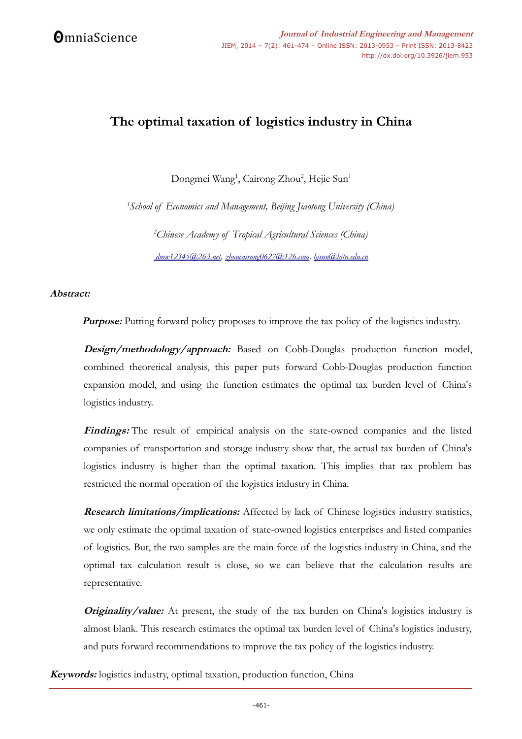# **The optimal taxation of logistics industry in China**

Dongmei Wang<sup>1</sup>, Cairong Zhou<sup>2</sup>, Hejie Sun<sup>1</sup>

*<sup>1</sup>School of Economics and Management, Beijing Jiaotong University (China)*

*<sup>2</sup>Chinese Academy of Tropical Agricultural Sciences (China)  [dmw12345@263.net,](mailto:%20dmw12345@263.net) [zhoucairong0627@126.com,](mailto:zhoucairong0627@126.com) [hjsun@bjtu.edu.cn](mailto:hjsun@bjtu.edu.cn)*

**Abstract:**

*Purpose:* Putting forward policy proposes to improve the tax policy of the logistics industry.

**Design/methodology/approach:** Based on Cobb-Douglas production function model, combined theoretical analysis, this paper puts forward Cobb-Douglas production function expansion model, and using the function estimates the optimal tax burden level of China's logistics industry.

**Findings:** The result of empirical analysis on the state-owned companies and the listed companies of transportation and storage industry show that, the actual tax burden of China's logistics industry is higher than the optimal taxation. This implies that tax problem has restricted the normal operation of the logistics industry in China.

**Research limitations/implications:** Affected by lack of Chinese logistics industry statistics, we only estimate the optimal taxation of state-owned logistics enterprises and listed companies of logistics. But, the two samples are the main force of the logistics industry in China, and the optimal tax calculation result is close, so we can believe that the calculation results are representative.

**Originality/value:** At present, the study of the tax burden on China's logistics industry is almost blank. This research estimates the optimal tax burden level of China's logistics industry, and puts forward recommendations to improve the tax policy of the logistics industry.

**Keywords:** logistics industry, optimal taxation, production function, China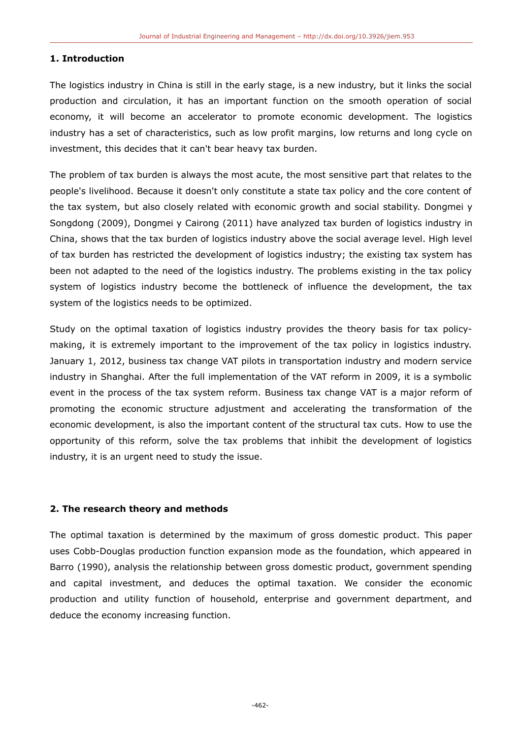### **1. Introduction**

The logistics industry in China is still in the early stage, is a new industry, but it links the social production and circulation, it has an important function on the smooth operation of social economy, it will become an accelerator to promote economic development. The logistics industry has a set of characteristics, such as low profit margins, low returns and long cycle on investment, this decides that it can't bear heavy tax burden.

The problem of tax burden is always the most acute, the most sensitive part that relates to the people's livelihood. Because it doesn't only constitute a state tax policy and the core content of the tax system, but also closely related with economic growth and social stability. Dongmei y Songdong (2009), Dongmei y Cairong (2011) have analyzed tax burden of logistics industry in China, shows that the tax burden of logistics industry above the social average level. High level of tax burden has restricted the development of logistics industry; the existing tax system has been not adapted to the need of the logistics industry. The problems existing in the tax policy system of logistics industry become the bottleneck of influence the development, the tax system of the logistics needs to be optimized.

Study on the optimal taxation of logistics industry provides the theory basis for tax policymaking, it is extremely important to the improvement of the tax policy in logistics industry. January 1, 2012, business tax change VAT pilots in transportation industry and modern service industry in Shanghai. After the full implementation of the VAT reform in 2009, it is a symbolic event in the process of the tax system reform. Business tax change VAT is a major reform of promoting the economic structure adjustment and accelerating the transformation of the economic development, is also the important content of the structural tax cuts. How to use the opportunity of this reform, solve the tax problems that inhibit the development of logistics industry, it is an urgent need to study the issue.

### **2. The research theory and methods**

The optimal taxation is determined by the maximum of gross domestic product. This paper uses Cobb-Douglas production function expansion mode as the foundation, which appeared in Barro (1990), analysis the relationship between gross domestic product, government spending and capital investment, and deduces the optimal taxation. We consider the economic production and utility function of household, enterprise and government department, and deduce the economy increasing function.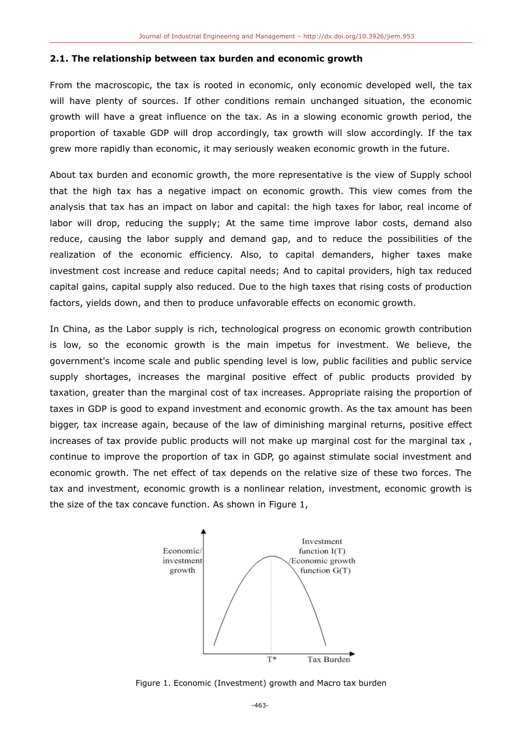#### **2.1. The relationship between tax burden and economic growth**

From the macroscopic, the tax is rooted in economic, only economic developed well, the tax will have plenty of sources. If other conditions remain unchanged situation, the economic growth will have a great influence on the tax. As in a slowing economic growth period, the proportion of taxable GDP will drop accordingly, tax growth will slow accordingly. If the tax grew more rapidly than economic, it may seriously weaken economic growth in the future.

About tax burden and economic growth, the more representative is the view of Supply school that the high tax has a negative impact on economic growth. This view comes from the analysis that tax has an impact on labor and capital: the high taxes for labor, real income of labor will drop, reducing the supply; At the same time improve labor costs, demand also reduce, causing the labor supply and demand gap, and to reduce the possibilities of the realization of the economic efficiency. Also, to capital demanders, higher taxes make investment cost increase and reduce capital needs; And to capital providers, high tax reduced capital gains, capital supply also reduced. Due to the high taxes that rising costs of production factors, yields down, and then to produce unfavorable effects on economic growth.

In China, as the Labor supply is rich, technological progress on economic growth contribution is low, so the economic growth is the main impetus for investment. We believe, the government's income scale and public spending level is low, public facilities and public service supply shortages, increases the marginal positive effect of public products provided by taxation, greater than the marginal cost of tax increases. Appropriate raising the proportion of taxes in GDP is good to expand investment and economic growth. As the tax amount has been bigger, tax increase again, because of the law of diminishing marginal returns, positive effect increases of tax provide public products will not make up marginal cost for the marginal tax, continue to improve the proportion of tax in GDP, go against stimulate social investment and economic growth. The net effect of tax depends on the relative size of these two forces. The tax and investment, economic growth is a nonlinear relation, investment, economic growth is the size of the tax concave function. As shown in Figure 1,



Figure 1. Economic (Investment) growth and Macro tax burden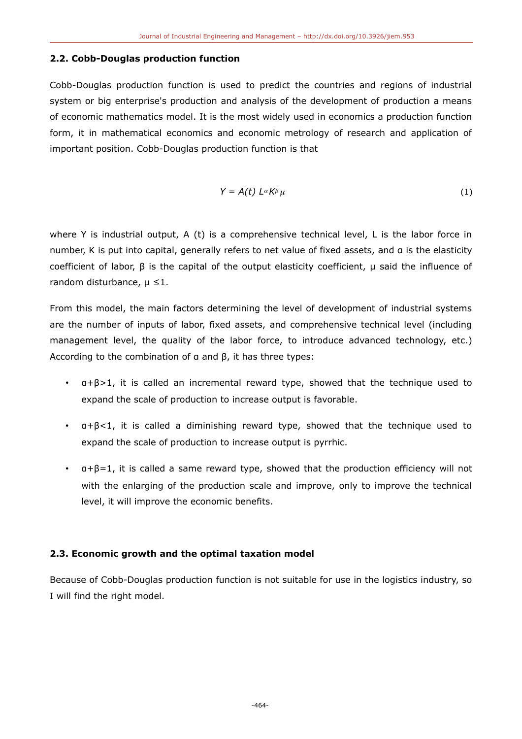### **2.2. Cobb-Douglas production function**

Cobb-Douglas production function is used to predict the countries and regions of industrial system or big enterprise's production and analysis of the development of production a means of economic mathematics model. It is the most widely used in economics a production function form, it in mathematical economics and economic metrology of research and application of important position. Cobb-Douglas production function is that

$$
Y = A(t) L^{\alpha} K^{\beta} \mu \tag{1}
$$

where Y is industrial output, A (t) is a comprehensive technical level, L is the labor force in number, K is put into capital, generally refers to net value of fixed assets, and α is the elasticity coefficient of labor, β is the capital of the output elasticity coefficient, μ said the influence of random disturbance, μ ≤1.

From this model, the main factors determining the level of development of industrial systems are the number of inputs of labor, fixed assets, and comprehensive technical level (including management level, the quality of the labor force, to introduce advanced technology, etc.) According to the combination of  $α$  and  $β$ , it has three types:

- $\cdot$   $a + \beta > 1$ , it is called an incremental reward type, showed that the technique used to expand the scale of production to increase output is favorable.
- $\cdot$   $a+\beta<1$ , it is called a diminishing reward type, showed that the technique used to expand the scale of production to increase output is pyrrhic.
- $\cdot$  a+ $\beta$ =1, it is called a same reward type, showed that the production efficiency will not with the enlarging of the production scale and improve, only to improve the technical level, it will improve the economic benefits.

### **2.3. Economic growth and the optimal taxation model**

Because of Cobb-Douglas production function is not suitable for use in the logistics industry, so I will find the right model.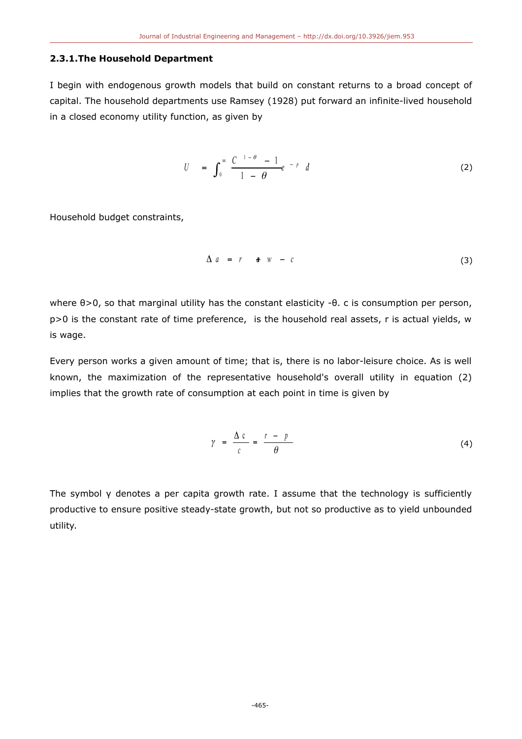### **2.3.1.The Household Department**

I begin with endogenous growth models that build on constant returns to a broad concept of capital. The household departments use Ramsey (1928) put forward an infinite-lived household in a closed economy utility function, as given by

$$
U = \int_0^\infty \frac{C^{-1-\theta} - 1}{1-\theta} e^{-\rho} d
$$
 (2)

Household budget constraints,

$$
\Delta a = r + w - c \tag{3}
$$

where θ>0, so that marginal utility has the constant elasticity -θ. c is consumption per person, p>0 is the constant rate of time preference, is the household real assets, r is actual yields, w is wage.

Every person works a given amount of time; that is, there is no labor-leisure choice. As is well known, the maximization of the representative household's overall utility in equation (2) implies that the growth rate of consumption at each point in time is given by

$$
\gamma = \frac{\Delta c}{c} = \frac{r - p}{\theta} \tag{4}
$$

The symbol γ denotes a per capita growth rate. I assume that the technology is sufficiently productive to ensure positive steady-state growth, but not so productive as to yield unbounded utility.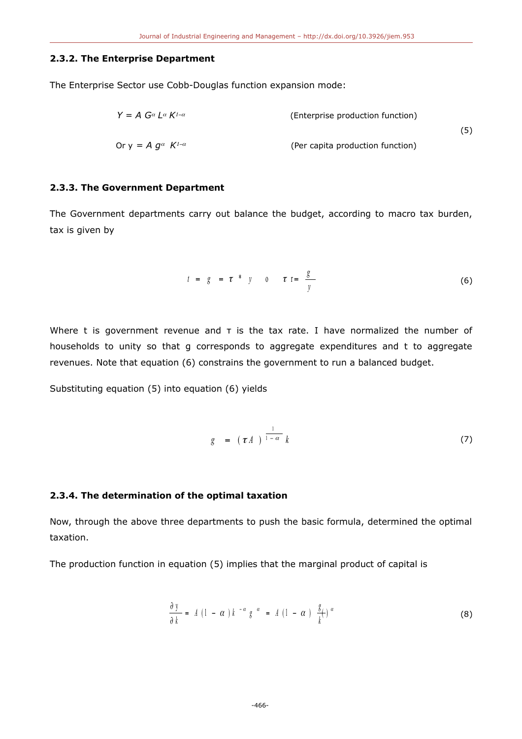#### **2.3.2. The Enterprise Department**

The Enterprise Sector use Cobb-Douglas function expansion mode:

| $Y = A G^{\alpha} L^{\alpha} K^{1-\alpha}$ | (Enterprise production function) |     |
|--------------------------------------------|----------------------------------|-----|
|                                            |                                  | (5) |
| Or y = A $q^{\alpha}$ $K^{1-\alpha}$       | (Per capita production function) |     |

### **2.3.3. The Government Department**

The Government departments carry out balance the budget, according to macro tax burden, tax is given by

$$
t = g = \tau^* y \qquad 0 \qquad \tau = \frac{g}{y} \tag{6}
$$

Where t is government revenue and τ is the tax rate. I have normalized the number of households to unity so that g corresponds to aggregate expenditures and t to aggregate revenues. Note that equation (6) constrains the government to run a balanced budget.

Substituting equation (5) into equation (6) yields

$$
g = (\tau A)^{\frac{1}{1-\alpha}} k \tag{7}
$$

### **2.3.4. The determination of the optimal taxation**

Now, through the above three departments to push the basic formula, determined the optimal taxation.

The production function in equation (5) implies that the marginal product of capital is

$$
\frac{\partial y}{\partial k} = A (1 - \alpha) k^{-\alpha} g^{\alpha} = A (1 - \alpha) \frac{g}{k}^{\alpha}
$$
 (8)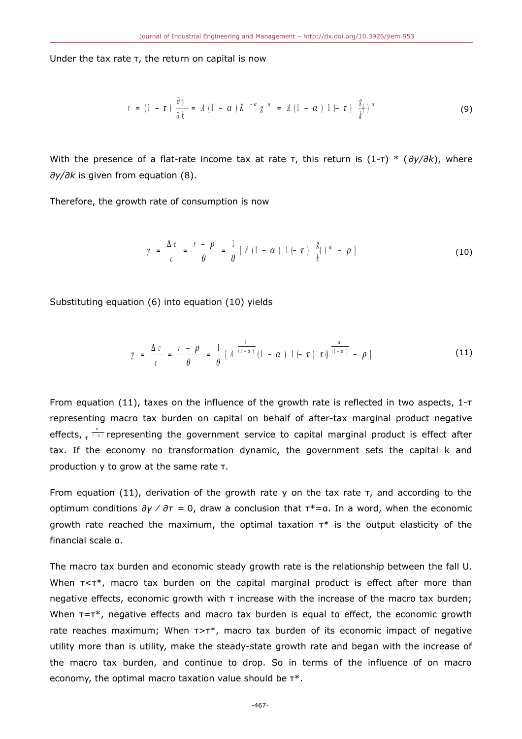Under the tax rate τ, the return on capital is now

$$
r = (1 - \tau) \frac{\partial y}{\partial k} = A (1 - \alpha) K^{-\alpha} g^{\alpha} = A (1 - \alpha) 1 (- \tau) \frac{g}{k} e^{i \alpha}
$$
 (9)

With the presence of a flat-rate income tax at rate τ, this return is (1-τ) \* (*∂y/∂k*), where *∂y/∂k* is given from equation (8).

Therefore, the growth rate of consumption is now

$$
\gamma = \frac{\Delta c}{c} = \frac{r - \rho}{\theta} = \frac{1}{\theta} [A (1 - \alpha) 1 (-\tau) \frac{g}{k}]^{\alpha} - \rho ]
$$
 (10)

Substituting equation (6) into equation (10) yields

$$
\gamma = \frac{\Delta c}{c} = \frac{r - \rho}{\theta} = \frac{1}{\theta} [ A^{\frac{1}{(1 - \alpha)}} (1 - \alpha) 1 (-\tau) \tau \theta^{\frac{\alpha}{(1 - \alpha)}} - \rho ] \qquad (11)
$$

From equation (11), taxes on the influence of the growth rate is reflected in two aspects, 1-τ representing macro tax burden on capital on behalf of after-tax marginal product negative effects,  $\tau^{\frac{\alpha}{(1-\alpha)}}$  representing the government service to capital marginal product is effect after tax. If the economy no transformation dynamic, the government sets the capital k and production y to grow at the same rate τ. τ

From equation (11), derivation of the growth rate y on the tax rate τ, and according to the optimum conditions *∂γ ∕ ∂τ =* 0, draw a conclusion that τ\*=α. In a word, when the economic growth rate reached the maximum, the optimal taxation  $\tau^*$  is the output elasticity of the financial scale α.

The macro tax burden and economic steady growth rate is the relationship between the fall U. When  $\tau$ < $\tau^*$ , macro tax burden on the capital marginal product is effect after more than negative effects, economic growth with τ increase with the increase of the macro tax burden; When  $\tau = \tau^*$ , negative effects and macro tax burden is equal to effect, the economic growth rate reaches maximum; When  $T>T^*$ , macro tax burden of its economic impact of negative utility more than is utility, make the steady-state growth rate and began with the increase of the macro tax burden, and continue to drop. So in terms of the influence of on macro economy, the optimal macro taxation value should be τ\*.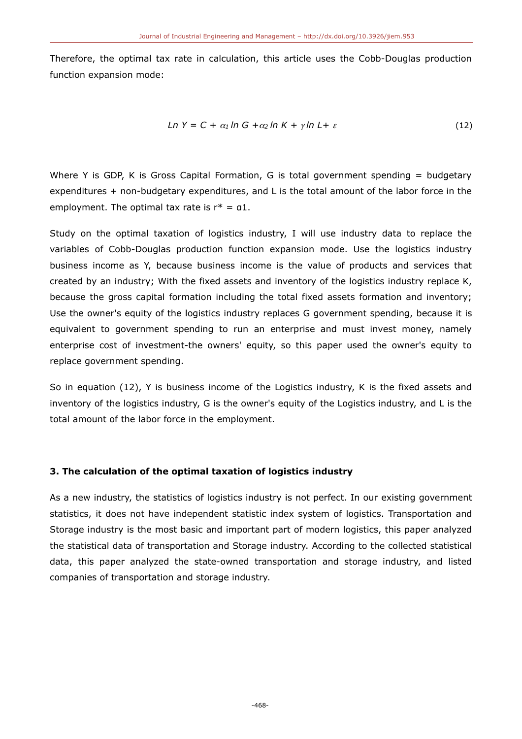Therefore, the optimal tax rate in calculation, this article uses the Cobb-Douglas production function expansion mode:

$$
Ln Y = C + \alpha_1 ln G + \alpha_2 ln K + \gamma ln L + \varepsilon
$$
\n(12)

Where Y is GDP, K is Gross Capital Formation, G is total government spending  $=$  budgetary expenditures + non-budgetary expenditures, and L is the total amount of the labor force in the employment. The optimal tax rate is  $r^* = a1$ .

Study on the optimal taxation of logistics industry, I will use industry data to replace the variables of Cobb-Douglas production function expansion mode. Use the logistics industry business income as Y, because business income is the value of products and services that created by an industry; With the fixed assets and inventory of the logistics industry replace K, because the gross capital formation including the total fixed assets formation and inventory; Use the owner's equity of the logistics industry replaces G government spending, because it is equivalent to government spending to run an enterprise and must invest money, namely enterprise cost of investment-the owners' equity, so this paper used the owner's equity to replace government spending.

So in equation (12), Y is business income of the Logistics industry, K is the fixed assets and inventory of the logistics industry, G is the owner's equity of the Logistics industry, and L is the total amount of the labor force in the employment.

### **3. The calculation of the optimal taxation of logistics industry**

As a new industry, the statistics of logistics industry is not perfect. In our existing government statistics, it does not have independent statistic index system of logistics. Transportation and Storage industry is the most basic and important part of modern logistics, this paper analyzed the statistical data of transportation and Storage industry. According to the collected statistical data, this paper analyzed the state-owned transportation and storage industry, and listed companies of transportation and storage industry.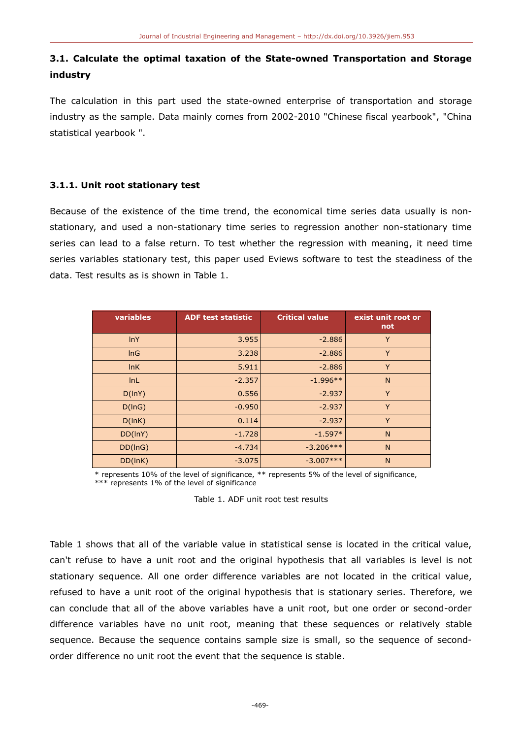# **3.1. Calculate the optimal taxation of the State-owned Transportation and Storage industry**

The calculation in this part used the state-owned enterprise of transportation and storage industry as the sample. Data mainly comes from 2002-2010 "Chinese fiscal yearbook", "China statistical yearbook ".

### **3.1.1. Unit root stationary test**

Because of the existence of the time trend, the economical time series data usually is nonstationary, and used a non-stationary time series to regression another non-stationary time series can lead to a false return. To test whether the regression with meaning, it need time series variables stationary test, this paper used Eviews software to test the steadiness of the data. Test results as is shown in Table 1.

| variables    | <b>ADF test statistic</b> | <b>Critical value</b> | exist unit root or<br>not |
|--------------|---------------------------|-----------------------|---------------------------|
| lnY          | 3.955                     | $-2.886$              | Y                         |
| InG          | 3.238                     | $-2.886$              | Y                         |
| lnK          | 5.911                     | $-2.886$              | Y                         |
| lnL          | $-2.357$                  | $-1.996**$            | N                         |
| D(lnY)       | 0.556                     | $-2.937$              | Y                         |
| $D($ InG $)$ | $-0.950$                  | $-2.937$              | Y                         |
| D(lnK)       | 0.114                     | $-2.937$              | Y                         |
| DD(lnY)      | $-1.728$                  | $-1.597*$             | N                         |
| DD(InG)      | $-4.734$                  | $-3.206***$           | N                         |
| DD(lnK)      | $-3.075$                  | $-3.007***$           | N                         |

\* represents 10% of the level of significance, \*\* represents 5% of the level of significance, \*\*\* represents 1% of the level of significance

Table 1. ADF unit root test results

Table 1 shows that all of the variable value in statistical sense is located in the critical value, can't refuse to have a unit root and the original hypothesis that all variables is level is not stationary sequence. All one order difference variables are not located in the critical value, refused to have a unit root of the original hypothesis that is stationary series. Therefore, we can conclude that all of the above variables have a unit root, but one order or second-order difference variables have no unit root, meaning that these sequences or relatively stable sequence. Because the sequence contains sample size is small, so the sequence of secondorder difference no unit root the event that the sequence is stable.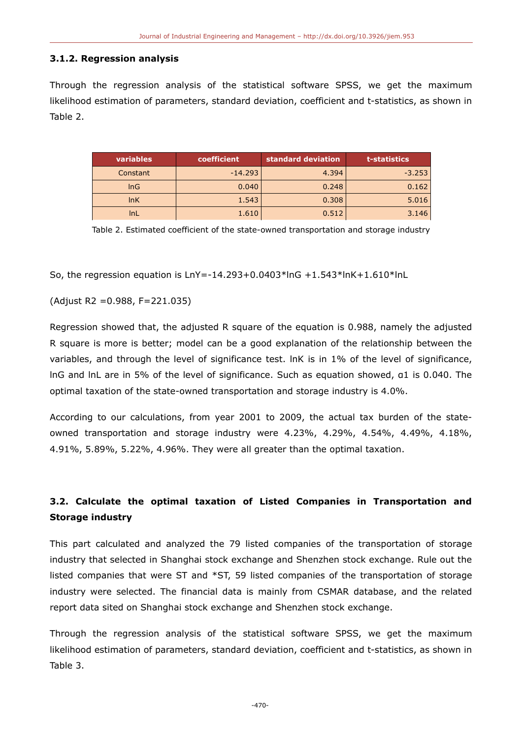### **3.1.2. Regression analysis**

Through the regression analysis of the statistical software SPSS, we get the maximum likelihood estimation of parameters, standard deviation, coefficient and t-statistics, as shown in Table 2.

| <b>variables</b> | coefficient | standard deviation | t-statistics |
|------------------|-------------|--------------------|--------------|
| Constant         | $-14.293$   | 4.394              | $-3.253$     |
| InG              | 0.040       | 0.248              | 0.162        |
| ln K             | 1.543       | 0.308              | 5.016        |
| InL              | 1.610       | 0.512              | 3.146        |

Table 2. Estimated coefficient of the state-owned transportation and storage industry

So, the regression equation is  $LN = -14.293 + 0.0403*lnG + 1.543*lnK + 1.610*lnL$ 

### (Adjust R2 =0.988, F=221.035)

Regression showed that, the adjusted R square of the equation is 0.988, namely the adjusted R square is more is better; model can be a good explanation of the relationship between the variables, and through the level of significance test. lnK is in 1% of the level of significance, lnG and lnL are in 5% of the level of significance. Such as equation showed, α1 is 0.040. The optimal taxation of the state-owned transportation and storage industry is 4.0%.

According to our calculations, from year 2001 to 2009, the actual tax burden of the stateowned transportation and storage industry were 4.23%, 4.29%, 4.54%, 4.49%, 4.18%, 4.91%, 5.89%, 5.22%, 4.96%. They were all greater than the optimal taxation.

## **3.2. Calculate the optimal taxation of Listed Companies in Transportation and Storage industry**

This part calculated and analyzed the 79 listed companies of the transportation of storage industry that selected in Shanghai stock exchange and Shenzhen stock exchange. Rule out the listed companies that were ST and \*ST, 59 listed companies of the transportation of storage industry were selected. The financial data is mainly from CSMAR database, and the related report data sited on Shanghai stock exchange and Shenzhen stock exchange.

Through the regression analysis of the statistical software SPSS, we get the maximum likelihood estimation of parameters, standard deviation, coefficient and t-statistics, as shown in Table 3.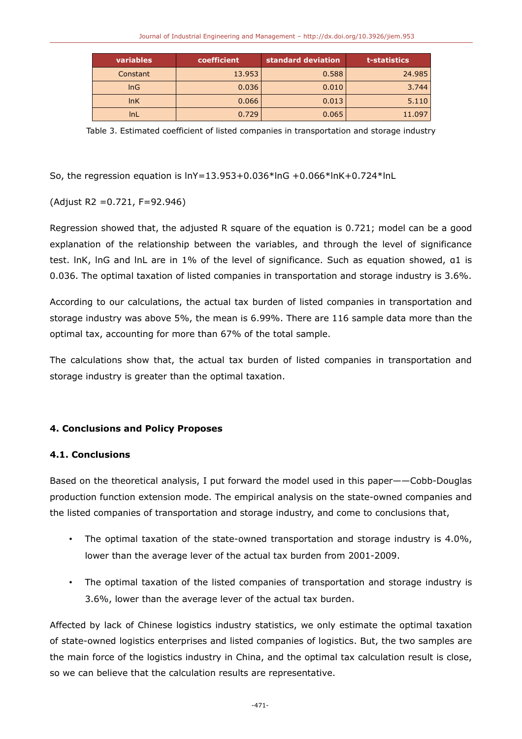| variables | coefficient | standard deviation | t-statistics |
|-----------|-------------|--------------------|--------------|
| Constant  | 13.953      | 0.588              | 24.985       |
| InG       | 0.036       | 0.010              | 3.744        |
| lnK       | 0.066       | 0.013              | 5.110        |
| InL       | 0.729       | 0.065              | 11.097       |

Table 3. Estimated coefficient of listed companies in transportation and storage industry

So, the regression equation is  $lnY=13.953+0.036*lnG +0.066*lnK+0.724*lnL$ 

(Adjust R2 =0.721, F=92.946)

Regression showed that, the adjusted R square of the equation is 0.721; model can be a good explanation of the relationship between the variables, and through the level of significance test. lnK, lnG and lnL are in 1% of the level of significance. Such as equation showed, α1 is 0.036. The optimal taxation of listed companies in transportation and storage industry is 3.6%.

According to our calculations, the actual tax burden of listed companies in transportation and storage industry was above 5%, the mean is 6.99%. There are 116 sample data more than the optimal tax, accounting for more than 67% of the total sample.

The calculations show that, the actual tax burden of listed companies in transportation and storage industry is greater than the optimal taxation.

### **4. Conclusions and Policy Proposes**

### **4.1. Conclusions**

Based on the theoretical analysis, I put forward the model used in this paper——Cobb-Douglas production function extension mode. The empirical analysis on the state-owned companies and the listed companies of transportation and storage industry, and come to conclusions that,

- The optimal taxation of the state-owned transportation and storage industry is 4.0%, lower than the average lever of the actual tax burden from 2001-2009.
- The optimal taxation of the listed companies of transportation and storage industry is 3.6%, lower than the average lever of the actual tax burden.

Affected by lack of Chinese logistics industry statistics, we only estimate the optimal taxation of state-owned logistics enterprises and listed companies of logistics. But, the two samples are the main force of the logistics industry in China, and the optimal tax calculation result is close, so we can believe that the calculation results are representative.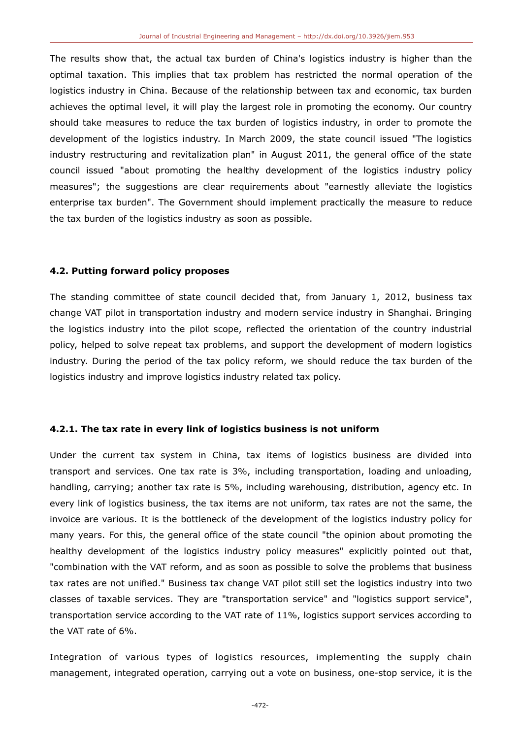The results show that, the actual tax burden of China's logistics industry is higher than the optimal taxation. This implies that tax problem has restricted the normal operation of the logistics industry in China. Because of the relationship between tax and economic, tax burden achieves the optimal level, it will play the largest role in promoting the economy. Our country should take measures to reduce the tax burden of logistics industry, in order to promote the development of the logistics industry. In March 2009, the state council issued "The logistics industry restructuring and revitalization plan" in August 2011, the general office of the state council issued "about promoting the healthy development of the logistics industry policy measures"; the suggestions are clear requirements about "earnestly alleviate the logistics enterprise tax burden". The Government should implement practically the measure to reduce the tax burden of the logistics industry as soon as possible.

#### **4.2. Putting forward policy proposes**

The standing committee of state council decided that, from January 1, 2012, business tax change VAT pilot in transportation industry and modern service industry in Shanghai. Bringing the logistics industry into the pilot scope, reflected the orientation of the country industrial policy, helped to solve repeat tax problems, and support the development of modern logistics industry. During the period of the tax policy reform, we should reduce the tax burden of the logistics industry and improve logistics industry related tax policy.

### **4.2.1. The tax rate in every link of logistics business is not uniform**

Under the current tax system in China, tax items of logistics business are divided into transport and services. One tax rate is 3%, including transportation, loading and unloading, handling, carrying; another tax rate is 5%, including warehousing, distribution, agency etc. In every link of logistics business, the tax items are not uniform, tax rates are not the same, the invoice are various. It is the bottleneck of the development of the logistics industry policy for many years. For this, the general office of the state council "the opinion about promoting the healthy development of the logistics industry policy measures" explicitly pointed out that, "combination with the VAT reform, and as soon as possible to solve the problems that business tax rates are not unified." Business tax change VAT pilot still set the logistics industry into two classes of taxable services. They are "transportation service" and "logistics support service", transportation service according to the VAT rate of 11%, logistics support services according to the VAT rate of 6%.

Integration of various types of logistics resources, implementing the supply chain management, integrated operation, carrying out a vote on business, one-stop service, it is the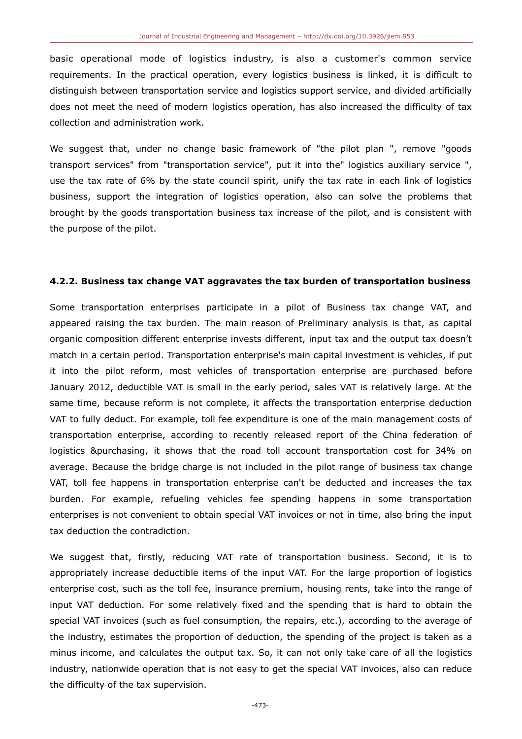basic operational mode of logistics industry, is also a customer's common service requirements. In the practical operation, every logistics business is linked, it is difficult to distinguish between transportation service and logistics support service, and divided artificially does not meet the need of modern logistics operation, has also increased the difficulty of tax collection and administration work.

We suggest that, under no change basic framework of "the pilot plan ", remove "goods transport services" from "transportation service", put it into the" logistics auxiliary service ", use the tax rate of 6% by the state council spirit, unify the tax rate in each link of logistics business, support the integration of logistics operation, also can solve the problems that brought by the goods transportation business tax increase of the pilot, and is consistent with the purpose of the pilot.

### **4.2.2. Business tax change VAT aggravates the tax burden of transportation business**

Some transportation enterprises participate in a pilot of Business tax change VAT, and appeared raising the tax burden. The main reason of Preliminary analysis is that, as capital organic composition different enterprise invests different, input tax and the output tax doesn't match in a certain period. Transportation enterprise's main capital investment is vehicles, if put it into the pilot reform, most vehicles of transportation enterprise are purchased before January 2012, deductible VAT is small in the early period, sales VAT is relatively large. At the same time, because reform is not complete, it affects the transportation enterprise deduction VAT to fully deduct. For example, toll fee expenditure is one of the main management costs of transportation enterprise, according to recently released report of the China federation of logistics &purchasing, it shows that the road toll account transportation cost for 34% on average. Because the bridge charge is not included in the pilot range of business tax change VAT, toll fee happens in transportation enterprise can't be deducted and increases the tax burden. For example, refueling vehicles fee spending happens in some transportation enterprises is not convenient to obtain special VAT invoices or not in time, also bring the input tax deduction the contradiction.

We suggest that, firstly, reducing VAT rate of transportation business. Second, it is to appropriately increase deductible items of the input VAT. For the large proportion of logistics enterprise cost, such as the toll fee, insurance premium, housing rents, take into the range of input VAT deduction. For some relatively fixed and the spending that is hard to obtain the special VAT invoices (such as fuel consumption, the repairs, etc.), according to the average of the industry, estimates the proportion of deduction, the spending of the project is taken as a minus income, and calculates the output tax. So, it can not only take care of all the logistics industry, nationwide operation that is not easy to get the special VAT invoices, also can reduce the difficulty of the tax supervision.